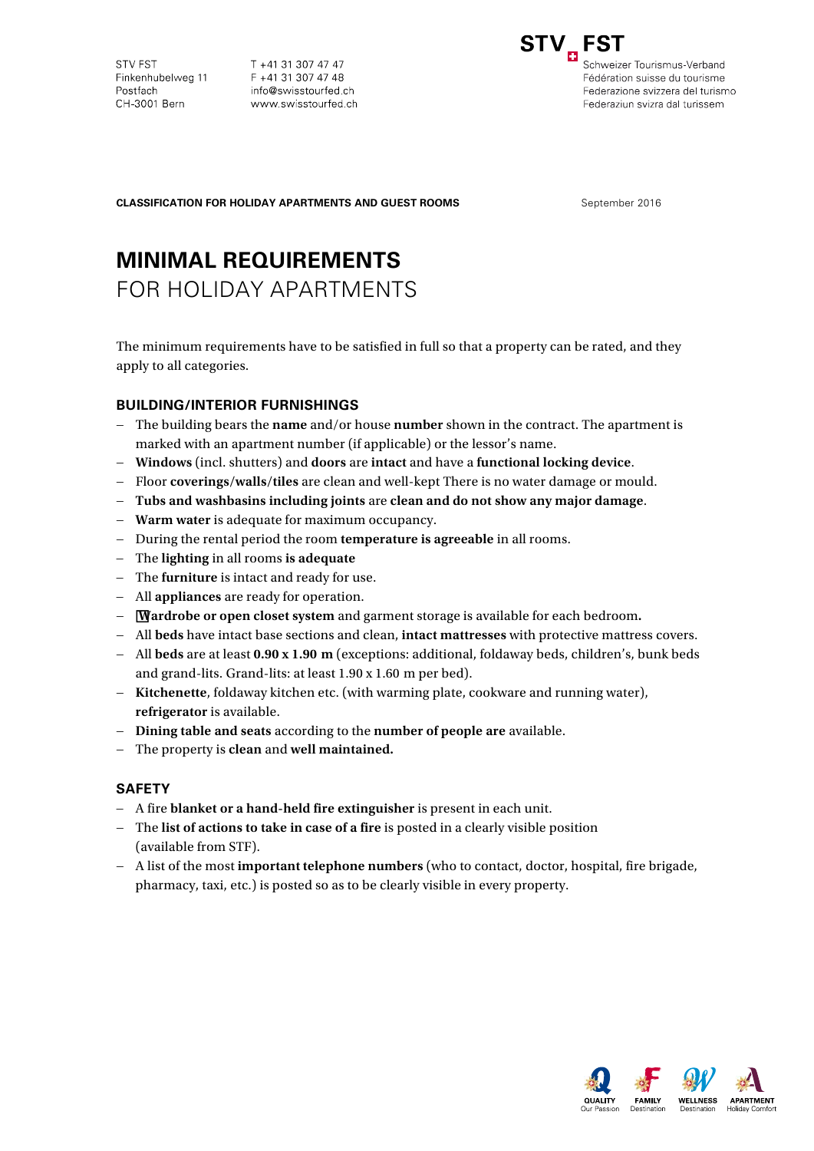**STV FST** Finkenhubelweg 11 Postfach CH-3001 Bern

T +41 31 307 47 47 F +41 31 307 47 48 info@swisstourfed.ch www.swisstourfed.ch



Schweizer Tourismus-Verband Fédération suisse du tourisme Federazione svizzera del turismo Federaziun svizra dal turissem

**CLASSIFICATION FOR HOLIDAY APARTMENTS AND GUEST ROOMS** September 2016

# **MINIMAL REQUIREMENTS**

FOR HOLIDAY APARTMENTS

The minimum requirements have to be satisfied in full so that a property can be rated, and they apply to all categories.

# **BUILDING/INTERIOR FURNISHINGS**

- − The building bears the **name** and/or house **number** shown in the contract. The apartment is marked with an apartment number (if applicable) or the lessor's name.
- − **Windows** (incl. shutters) and **doors** are **intact** and have a **functional locking device**.
- − Floor **coverings/walls/tiles** are clean and well-kept There is no water damage or mould.
- − **Tubs and washbasins including joints** are **clean and do not show any major damage**.
- − **Warm water** is adequate for maximum occupancy.
- − During the rental period the room **temperature is agreeable** in all rooms.
- − The **lighting** in all rooms **is adequate**
- − The **furniture** is intact and ready for use.
- − All **appliances** are ready for operation.
- − **Wardrobe or open closet system** and garment storage is available for each bedroom**.**
- − All **beds** have intact base sections and clean, **intact mattresses** with protective mattress covers.
- − All **beds** are at least **0.90 x 1.90 m** (exceptions: additional, foldaway beds, children's, bunk beds and grand-lits. Grand-lits: at least 1.90 x 1.60 m per bed).
- − **Kitchenette**, foldaway kitchen etc. (with warming plate, cookware and running water), **refrigerator** is available.
- − **Dining table and seats** according to the **number of people are** available.
- − The property is **clean** and **well maintained.**

## **SAFETY**

- − A fire **blanket or a hand-held fire extinguisher** is present in each unit.
- − The **list of actions to take in case of a fire** is posted in a clearly visible position (available from STF).
- − A list of the most **important telephone numbers** (who to contact, doctor, hospital, fire brigade, pharmacy, taxi, etc.) is posted so as to be clearly visible in every property.